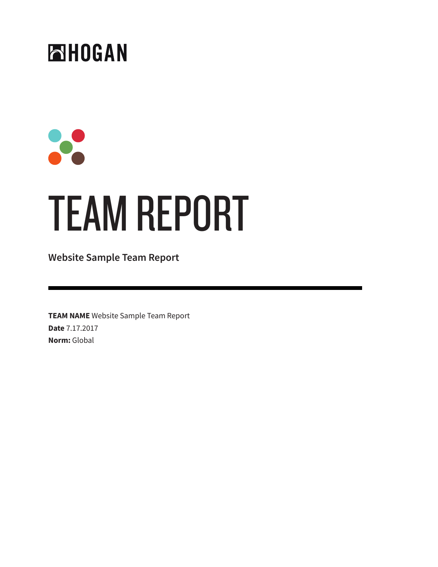### ENDGAN

# $\bullet$ TEAM REPORT

**Website Sample Team Report**

**TEAM NAME** Website Sample Team Report **Date** 7.17.2017 **Norm:** Global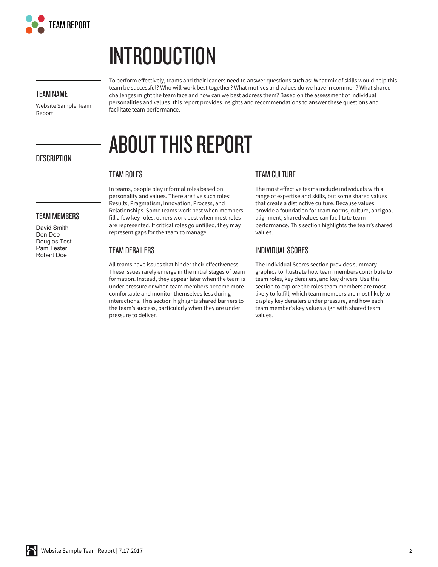

### **INTRODUCTION**

#### **TEAM NAME**

**DESCRIPTION**

**TEAM MEMBERS** David Smith Don Doe Douglas Test Pam Tester Robert Doe

Website Sample Team Report

To perform effectively, teams and their leaders need to answer questions such as: What mix of skills would help this team be successful? Who will work best together? What motives and values do we have in common? What shared challenges might the team face and how can we best address them? Based on the assessment of individual personalities and values, this report provides insights and recommendations to answer these questions and facilitate team performance.

### **ABOUT THIS REPORT**

### **TEAM ROLES**

personality and values. There are five such roles: Results, Pragmatism, Innovation, Process, and Relationships. Some teams work best when members fill a few key roles; others work best when most roles are represented. If critical roles go unfilled, they may represent gaps for the team to manage.

In teams, people play informal roles based on

#### **TEAM DERAILERS**

All teams have issues that hinder their effectiveness. These issues rarely emerge in the initial stages of team formation. Instead, they appear later when the team is under pressure or when team members become more comfortable and monitor themselves less during interactions. This section highlights shared barriers to the team's success, particularly when they are under pressure to deliver.

#### **TEAM CULTURE**

The most effective teams include individuals with a range of expertise and skills, but some shared values that create a distinctive culture. Because values provide a foundation for team norms, culture, and goal alignment, shared values can facilitate team performance. This section highlights the team's shared values.

#### **INDIVIDUAL SCORES**

The Individual Scores section provides summary graphics to illustrate how team members contribute to team roles, key derailers, and key drivers. Use this section to explore the roles team members are most likely to fulfill, which team members are most likely to display key derailers under pressure, and how each team member's key values align with shared team values.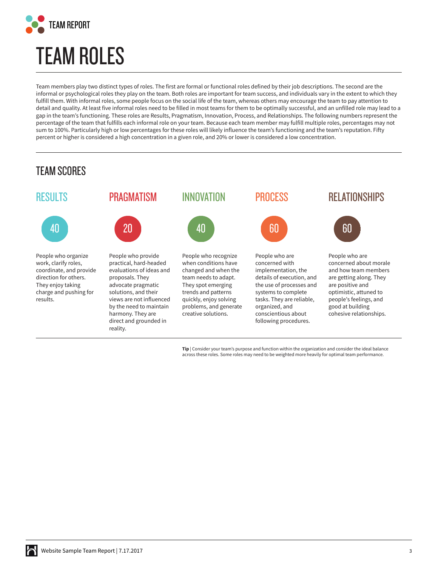

# **TEAM ROLES**

Team members play two distinct types of roles. The first are formal or functional roles defined by their job descriptions. The second are the informal or psychological roles they play on the team. Both roles are important for team success, and individuals vary in the extent to which they fulfill them. With informal roles, some people focus on the social life of the team, whereas others may encourage the team to pay attention to detail and quality. At least five informal roles need to be filled in most teams for them to be optimally successful, and an unfilled role may lead to a gap in the team's functioning. These roles are Results, Pragmatism, Innovation, Process, and Relationships. The following numbers represent the percentage of the team that fulfills each informal role on your team. Because each team member may fulfill multiple roles, percentages may not sum to 100%. Particularly high or low percentages for these roles will likely influence the team's functioning and the team's reputation. Fifty percent or higher is considered a high concentration in a given role, and 20% or lower is considered a low concentration.

### TEAM SCORES



**Tip** | Consider your team's purpose and function within the organization and consider the ideal balance across these roles. Some roles may need to be weighted more heavily for optimal team performance.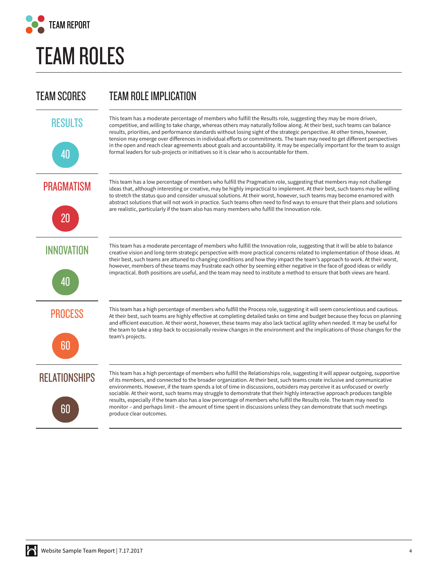

### **TEAM ROLES**

### TEAM SCORES TEAM ROLE IMPLICATION





This team has a moderate percentage of members who fulfill the Results role, suggesting they may be more driven, competitive, and willing to take charge, whereas others may naturally follow along. At their best, such teams can balance results, priorities, and performance standards without losing sight of the strategic perspective. At other times, however, tension may emerge over differences in individual efforts or commitments. The team may need to get different perspectives in the open and reach clear agreements about goals and accountability. It may be especially important for the team to assign formal leaders for sub-projects or initiatives so it is clear who is accountable for them.

This team has a low percentage of members who fulfill the Pragmatism role, suggesting that members may not challenge ideas that, although interesting or creative, may be highly impractical to implement. At their best, such teams may be willing to stretch the status quo and consider unusual solutions. At their worst, however, such teams may become enamored with abstract solutions that will not work in practice. Such teams often need to find ways to ensure that their plans and solutions

are realistic, particularly if the team also has many members who fulfill the Innovation role.

**PRAGMATISM** 



INNOVATION



This team has a moderate percentage of members who fulfill the Innovation role, suggesting that it will be able to balance creative vision and long-term strategic perspective with more practical concerns related to implementation of those ideas. At their best, such teams are attuned to changing conditions and how they impact the team's approach to work. At their worst, however, members of these teams may frustrate each other by seeming either negative in the face of good ideas or wildly impractical. Both positions are useful, and the team may need to institute a method to ensure that both views are heard.

PROCESS



This team has a high percentage of members who fulfill the Process role, suggesting it will seem conscientious and cautious. At their best, such teams are highly effective at completing detailed tasks on time and budget because they focus on planning and efficient execution. At their worst, however, these teams may also lack tactical agility when needed. It may be useful for the team to take a step back to occasionally review changes in the environment and the implications of those changes for the team's projects.

**RELATIONSHIPS** 



This team has a high percentage of members who fulfill the Relationships role, suggesting it will appear outgoing, supportive of its members, and connected to the broader organization. At their best, such teams create inclusive and communicative environments. However, if the team spends a lot of time in discussions, outsiders may perceive it as unfocused or overly sociable. At their worst, such teams may struggle to demonstrate that their highly interactive approach produces tangible results, especially if the team also has a low percentage of members who fulfill the Results role. The team may need to monitor – and perhaps limit – the amount of time spent in discussions unless they can demonstrate that such meetings produce clear outcomes.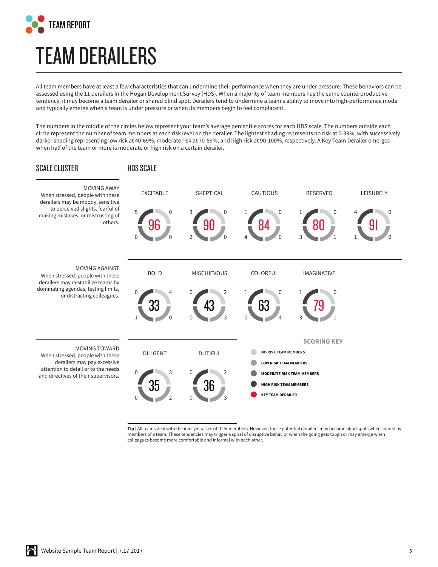

# **TEAM DERAILERS**

All team members have at least a few characteristics that can undermine their performance when they are under pressure. These behaviors can be assessed using the 11 derailers in the Hogan Development Survey (HDS). When a majority of team members has the same counterproductive tendency, it may become a team derailer or shared blind spot. Derailers tend to undermine a team's ability to move into high-performance mode and typically emerge when a team is under pressure or when its members begin to feel complacent.

The numbers in the middle of the circles below represent your team's average percentile scores for each HDS scale. The numbers outside each circle represent the number of team members at each risk level on the derailer. The lightest shading represents no risk at 0-39%, with successively darker shading representing low risk at 40-69%, moderate risk at 70-89%, and high risk at 90-100%, respectively. A Key Team Derailer emerges when half of the team or more is moderate or high risk on a certain derailer.



**Tip** | All teams deal with the idiosyncrasies of their members. However, these potential derailers may become blind spots when shared by members of a team. These tendencies may trigger a spiral of disruptive behavior when the going gets tough or may emerge when colleagues become more comfortable and informal with each other.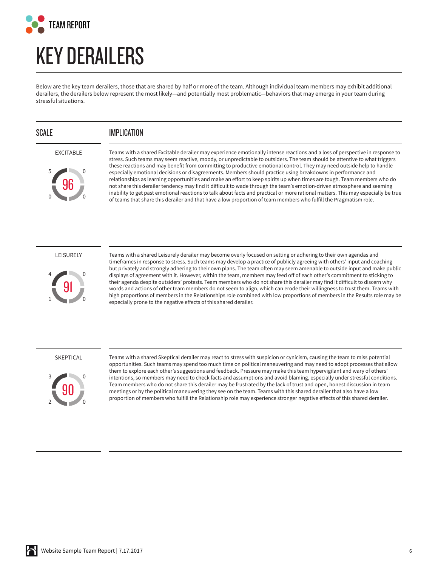

### **KEY DERAILERS**

Below are the key team derailers, those that are shared by half or more of the team. Although individual team members may exhibit additional derailers, the derailers below represent the most likely—and potentially most problematic—behaviors that may emerge in your team during stressful situations.

#### SCALE **IMPLICATION**

#### EXCITABLE



Teams with a shared Excitable derailer may experience emotionally intense reactions and a loss of perspective in response to stress. Such teams may seem reactive, moody, or unpredictable to outsiders. The team should be attentive to what triggers these reactions and may benefit from committing to productive emotional control. They may need outside help to handle especially emotional decisions or disagreements. Members should practice using breakdowns in performance and relationships as learning opportunities and make an effort to keep spirits up when times are tough. Team members who do not share this derailer tendency may find it difficult to wade through the team's emotion-driven atmosphere and seeming inability to get past emotional reactions to talk about facts and practical or more rational matters. This may especially be true of teams that share this derailer and that have a low proportion of team members who fulfill the Pragmatism role.

#### LEISURELY



Teams with a shared Leisurely derailer may become overly focused on setting or adhering to their own agendas and timeframes in response to stress. Such teams may develop a practice of publicly agreeing with others' input and coaching but privately and strongly adhering to their own plans. The team often may seem amenable to outside input and make public displays of agreement with it. However, within the team, members may feed off of each other's commitment to sticking to their agenda despite outsiders' protests. Team members who do not share this derailer may find it difficult to discern why words and actions of other team members do not seem to align, which can erode their willingness to trust them. Teams with high proportions of members in the Relationships role combined with low proportions of members in the Results role may be especially prone to the negative effects of this shared derailer.

#### SKEPTICAL



Teams with a shared Skeptical derailer may react to stress with suspicion or cynicism, causing the team to miss potential opportunities. Such teams may spend too much time on political maneuvering and may need to adopt processes that allow them to explore each other's suggestions and feedback. Pressure may make this team hypervigilant and wary of others' intentions, so members may need to check facts and assumptions and avoid blaming, especially under stressful conditions. Team members who do not share this derailer may be frustrated by the lack of trust and open, honest discussion in team meetings or by the political maneuvering they see on the team. Teams with this shared derailer that also have a low proportion of members who fulfill the Relationship role may experience stronger negative effects of this shared derailer.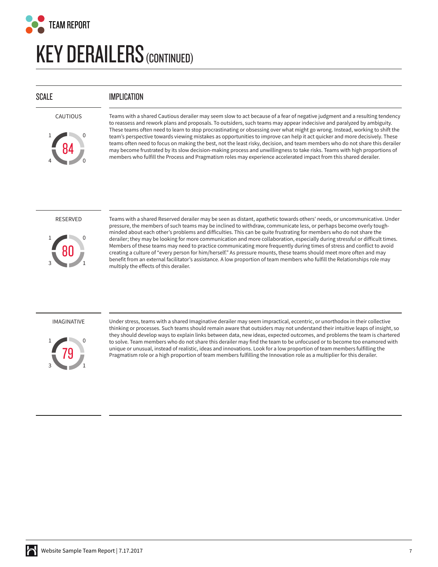

### **KEY DERAILERS(CONTINUED)**

#### SCALE **IMPLICATION**



Teams with a shared Cautious derailer may seem slow to act because of a fear of negative judgment and a resulting tendency to reassess and rework plans and proposals. To outsiders, such teams may appear indecisive and paralyzed by ambiguity. These teams often need to learn to stop procrastinating or obsessing over what might go wrong. Instead, working to shift the team's perspective towards viewing mistakes as opportunities to improve can help it act quicker and more decisively. These teams often need to focus on making the best, not the least risky, decision, and team members who do not share this derailer may become frustrated by its slow decision-making process and unwillingness to take risks. Teams with high proportions of members who fulfill the Process and Pragmatism roles may experience accelerated impact from this shared derailer.

#### RESERVED



Teams with a shared Reserved derailer may be seen as distant, apathetic towards others' needs, or uncommunicative. Under pressure, the members of such teams may be inclined to withdraw, communicate less, or perhaps become overly toughminded about each other's problems and difficulties. This can be quite frustrating for members who do not share the derailer; they may be looking for more communication and more collaboration, especially during stressful or difficult times. Members of these teams may need to practice communicating more frequently during times of stress and conflict to avoid creating a culture of "every person for him/herself." As pressure mounts, these teams should meet more often and may benefit from an external facilitator's assistance. A low proportion of team members who fulfill the Relationships role may multiply the effects of this derailer.

#### IMAGINATIVE



Under stress, teams with a shared Imaginative derailer may seem impractical, eccentric, or unorthodox in their collective thinking or processes. Such teams should remain aware that outsiders may not understand their intuitive leaps of insight, so they should develop ways to explain links between data, new ideas, expected outcomes, and problems the team is chartered to solve. Team members who do not share this derailer may find the team to be unfocused or to become too enamored with unique or unusual, instead of realistic, ideas and innovations. Look for a low proportion of team members fulfilling the Pragmatism role or a high proportion of team members fulfilling the Innovation role as a multiplier for this derailer.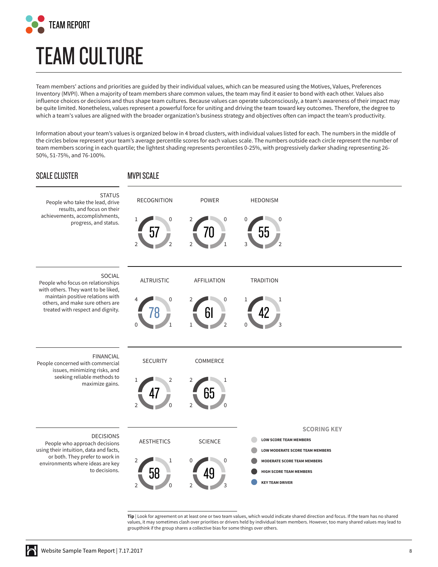

# **TEAM CULTURE**

Team members' actions and priorities are guided by their individual values, which can be measured using the Motives, Values, Preferences Inventory (MVPI). When a majority of team members share common values, the team may find it easier to bond with each other. Values also influence choices or decisions and thus shape team cultures. Because values can operate subconsciously, a team's awareness of their impact may be quite limited. Nonetheless, values represent a powerful force for uniting and driving the team toward key outcomes. Therefore, the degree to which a team's values are aligned with the broader organization's business strategy and objectives often can impact the team's productivity.

Information about your team's values is organized below in 4 broad clusters, with individual values listed for each. The numbers in the middle of the circles below represent your team's average percentile scores for each values scale. The numbers outside each circle represent the number of team members scoring in each quartile; the lightest shading represents percentiles 0-25%, with progressively darker shading representing 26- 50%, 51-75%, and 76-100%.



**Tip** | Look for agreement on at least one or two team values, which would indicate shared direction and focus. If the team has no shared values, it may sometimes clash over priorities or drivers held by individual team members. However, too many shared values may lead to groupthink if the group shares a collective bias for some things over others.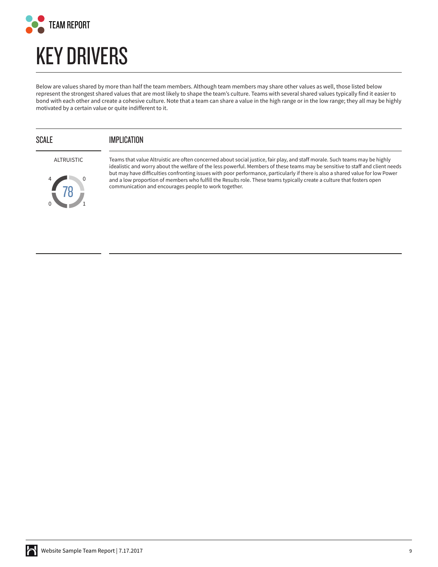

### **KEY DRIVERS**

Below are values shared by more than half the team members. Although team members may share other values as well, those listed below represent the strongest shared values that are most likely to shape the team's culture. Teams with several shared values typically find it easier to bond with each other and create a cohesive culture. Note that a team can share a value in the high range or in the low range; they all may be highly motivated by a certain value or quite indifferent to it.

### SCALE **IMPLICATION**

ALTRUISTIC



Teams that value Altruistic are often concerned about social justice, fair play, and staff morale. Such teams may be highly idealistic and worry about the welfare of the less powerful. Members of these teams may be sensitive to staff and client needs but may have difficulties confronting issues with poor performance, particularly if there is also a shared value for low Power and a low proportion of members who fulfill the Results role. These teams typically create a culture that fosters open communication and encourages people to work together.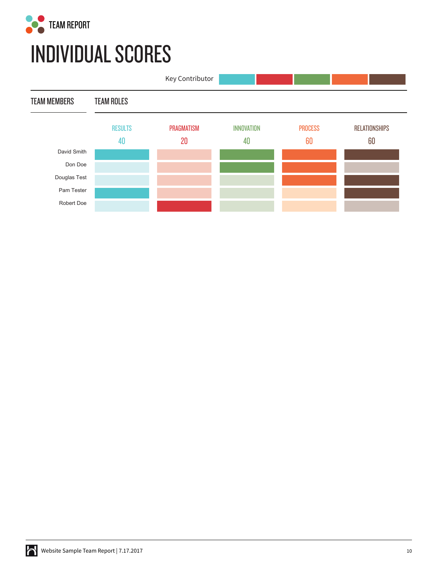

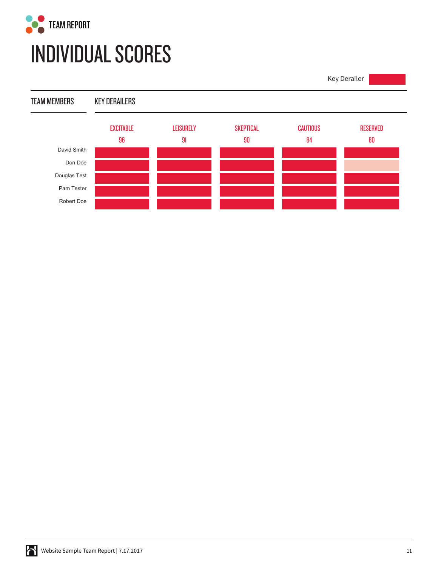

Key Derailer

TEAM MEMBERS KEY DERAILERS

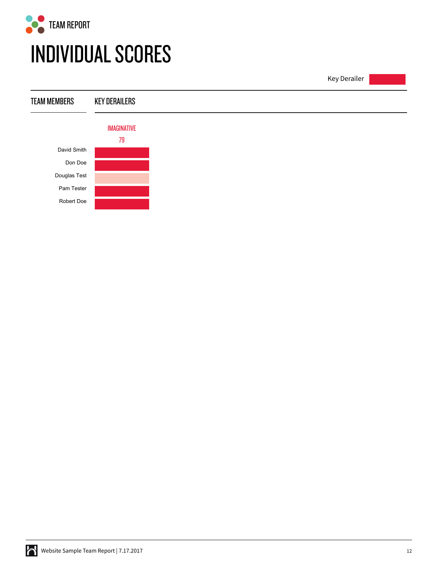

Key Derailer TEAM MEMBERS KEY DERAILERS IMAGINATIVE 79 David Smith Don Doe